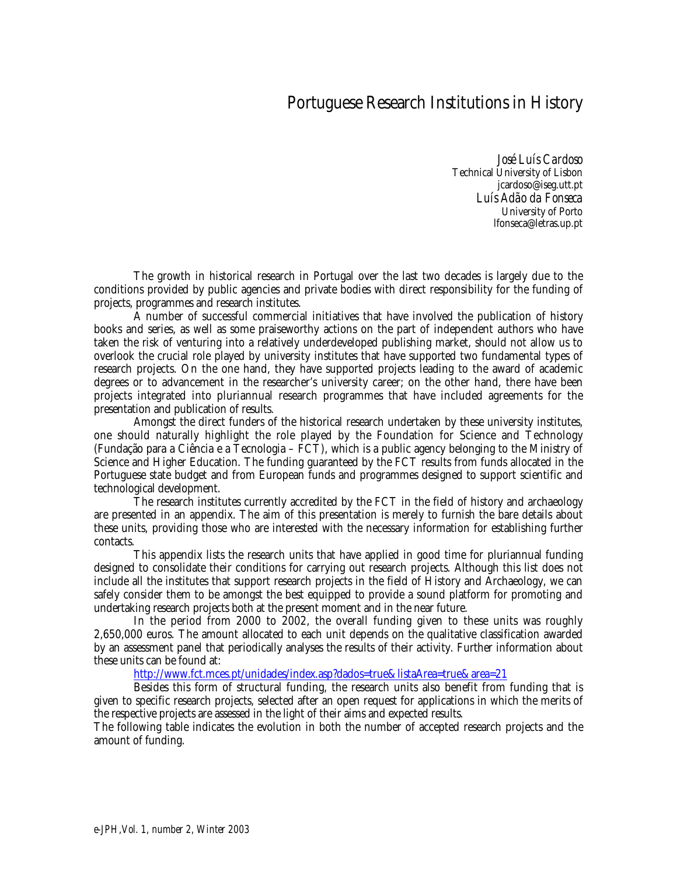## Portuguese Research Institutions in History

*José Luís Cardoso* Technical University of Lisbon jcardoso@iseg.utt.pt *Luís Adão da Fonseca* University of Porto lfonseca@letras.up.pt

The growth in historical research in Portugal over the last two decades is largely due to the conditions provided by public agencies and private bodies with direct responsibility for the funding of projects, programmes and research institutes.

A number of successful commercial initiatives that have involved the publication of history books and series, as well as some praiseworthy actions on the part of independent authors who have taken the risk of venturing into a relatively underdeveloped publishing market, should not allow us to overlook the crucial role played by university institutes that have supported two fundamental types of research projects. On the one hand, they have supported projects leading to the award of academic degrees or to advancement in the researcher's university career; on the other hand, there have been projects integrated into pluriannual research programmes that have included agreements for the presentation and publication of results.

Amongst the direct funders of the historical research undertaken by these university institutes, one should naturally highlight the role played by the Foundation for Science and Technology (Fundação para a Ciência e a Tecnologia – FCT), which is a public agency belonging to the Ministry of Science and Higher Education. The funding guaranteed by the FCT results from funds allocated in the Portuguese state budget and from European funds and programmes designed to support scientific and technological development.

The research institutes currently accredited by the FCT in the field of history and archaeology are presented in an appendix. The aim of this presentation is merely to furnish the bare details about these units, providing those who are interested with the necessary information for establishing further contacts.

This appendix lists the research units that have applied in good time for pluriannual funding designed to consolidate their conditions for carrying out research projects. Although this list does not include all the institutes that support research projects in the field of History and Archaeology, we can safely consider them to be amongst the best equipped to provide a sound platform for promoting and undertaking research projects both at the present moment and in the near future.

In the period from 2000 to 2002, the overall funding given to these units was roughly 2,650,000 euros. The amount allocated to each unit depends on the qualitative classification awarded by an assessment panel that periodically analyses the results of their activity. Further information about these units can be found at:

http://www.fct.mces.pt/unidades/index.asp?dados=true&listaArea=true&area=21

Besides this form of structural funding, the research units also benefit from funding that is given to specific research projects, selected after an open request for applications in which the merits of the respective projects are assessed in the light of their aims and expected results.

The following table indicates the evolution in both the number of accepted research projects and the amount of funding.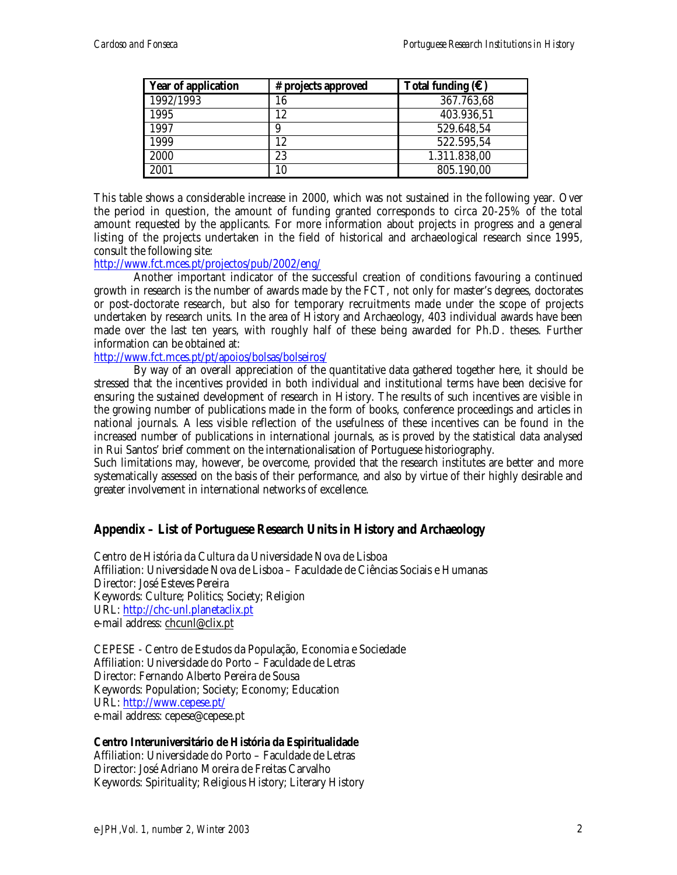| <b>Year of application</b> | # projects approved | Total funding $(\epsilon)$ |
|----------------------------|---------------------|----------------------------|
| 1992/1993                  | 16                  | 367.763,68                 |
| 1995                       | 12                  | 403.936,51                 |
| 1997                       | 9                   | 529.648,54                 |
| 1999                       | 12                  | 522.595,54                 |
| 2000                       | 23                  | 1.311.838,00               |
| 2001                       | 10                  | 805.190,00                 |

This table shows a considerable increase in 2000, which was not sustained in the following year. Over the period in question, the amount of funding granted corresponds to circa 20-25% of the total amount requested by the applicants. For more information about projects in progress and a general listing of the projects undertaken in the field of historical and archaeological research since 1995, consult the following site:

## http://www.fct.mces.pt/projectos/pub/2002/eng/

Another important indicator of the successful creation of conditions favouring a continued growth in research is the number of awards made by the FCT, not only for master's degrees, doctorates or post-doctorate research, but also for temporary recruitments made under the scope of projects undertaken by research units. In the area of History and Archaeology, 403 individual awards have been made over the last ten years, with roughly half of these being awarded for Ph.D. theses. Further information can be obtained at:

http://www.fct.mces.pt/pt/apoios/bolsas/bolseiros/

By way of an overall appreciation of the quantitative data gathered together here, it should be stressed that the incentives provided in both individual and institutional terms have been decisive for ensuring the sustained development of research in History. The results of such incentives are visible in the growing number of publications made in the form of books, conference proceedings and articles in national journals. A less visible reflection of the usefulness of these incentives can be found in the increased number of publications in international journals, as is proved by the statistical data analysed in Rui Santos' brief comment on the internationalisation of Portuguese historiography.

Such limitations may, however, be overcome, provided that the research institutes are better and more systematically assessed on the basis of their performance, and also by virtue of their highly desirable and greater involvement in international networks of excellence.

## **Appendix – List of Portuguese Research Units in History and Archaeology**

Centro de História da Cultura da Universidade Nova de Lisboa Affiliation: Universidade Nova de Lisboa – Faculdade de Ciências Sociais e Humanas Director: José Esteves Pereira Keywords: Culture; Politics; Society; Religion URL: http://chc-unl.planetaclix.pt e-mail address: chcunl@clix.pt

CEPESE - Centro de Estudos da População, Economia e Sociedade Affiliation: Universidade do Porto – Faculdade de Letras Director: Fernando Alberto Pereira de Sousa Keywords: Population; Society; Economy; Education URL: http://www.cepese.pt/ e-mail address: cepese@cepese.pt

**Centro Interuniversitário de História da Espiritualidade** Affiliation: Universidade do Porto – Faculdade de Letras Director: José Adriano Moreira de Freitas Carvalho Keywords: Spirituality; Religious History; Literary History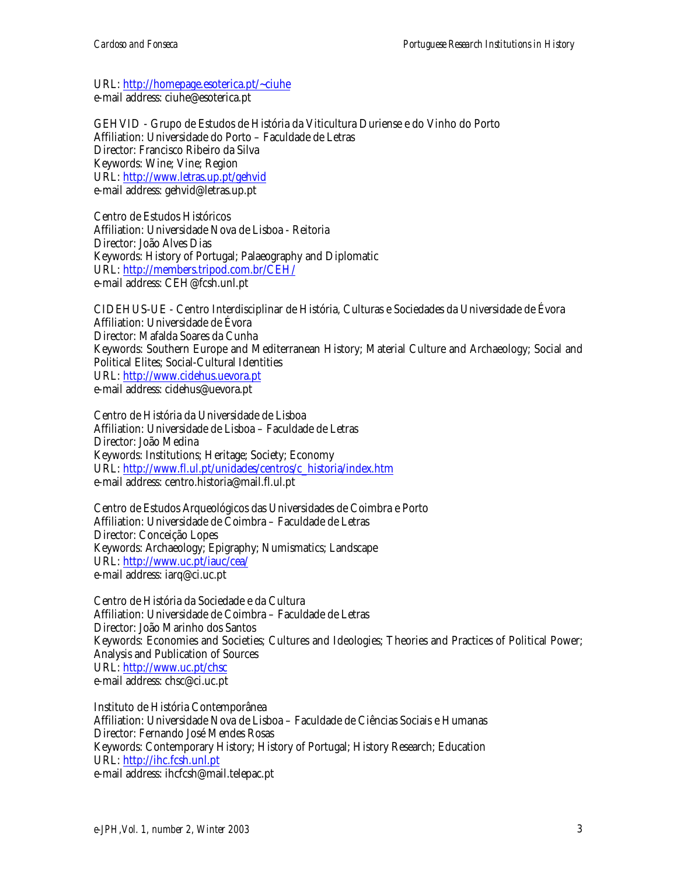URL: http://homepage.esoterica.pt/~ciuhe e-mail address: ciuhe@esoterica.pt

GEHVID - Grupo de Estudos de História da Viticultura Duriense e do Vinho do Porto Affiliation: Universidade do Porto – Faculdade de Letras Director: Francisco Ribeiro da Silva Keywords: Wine; Vine; Region URL: http://www.letras.up.pt/gehvid e-mail address: gehvid@letras.up.pt

Centro de Estudos Históricos Affiliation: Universidade Nova de Lisboa - Reitoria Director: João Alves Dias Keywords: History of Portugal; Palaeography and Diplomatic URL: http://members.tripod.com.br/CEH/ e-mail address: CEH@fcsh.unl.pt

CIDEHUS-UE - Centro Interdisciplinar de História, Culturas e Sociedades da Universidade de Évora Affiliation: Universidade de Évora Director: Mafalda Soares da Cunha Keywords: Southern Europe and Mediterranean History; Material Culture and Archaeology; Social and Political Elites; Social-Cultural Identities URL: http://www.cidehus.uevora.pt e-mail address: cidehus@uevora.pt

Centro de História da Universidade de Lisboa Affiliation: Universidade de Lisboa – Faculdade de Letras Director: João Medina Keywords: Institutions; Heritage; Society; Economy URL: http://www.fl.ul.pt/unidades/centros/c\_historia/index.htm e-mail address: centro.historia@mail.fl.ul.pt

Centro de Estudos Arqueológicos das Universidades de Coimbra e Porto Affiliation: Universidade de Coimbra – Faculdade de Letras Director: Conceição Lopes Keywords: Archaeology; Epigraphy; Numismatics; Landscape URL: http://www.uc.pt/iauc/cea/ e-mail address: iarq@ci.uc.pt

Centro de História da Sociedade e da Cultura Affiliation: Universidade de Coimbra – Faculdade de Letras Director: João Marinho dos Santos Keywords: Economies and Societies; Cultures and Ideologies; Theories and Practices of Political Power; Analysis and Publication of Sources URL: http://www.uc.pt/chsc e-mail address: chsc@ci.uc.pt

Instituto de História Contemporânea Affiliation: Universidade Nova de Lisboa – Faculdade de Ciências Sociais e Humanas Director: Fernando José Mendes Rosas Keywords: Contemporary History; History of Portugal; History Research; Education URL: http://ihc.fcsh.unl.pt e-mail address: ihcfcsh@mail.telepac.pt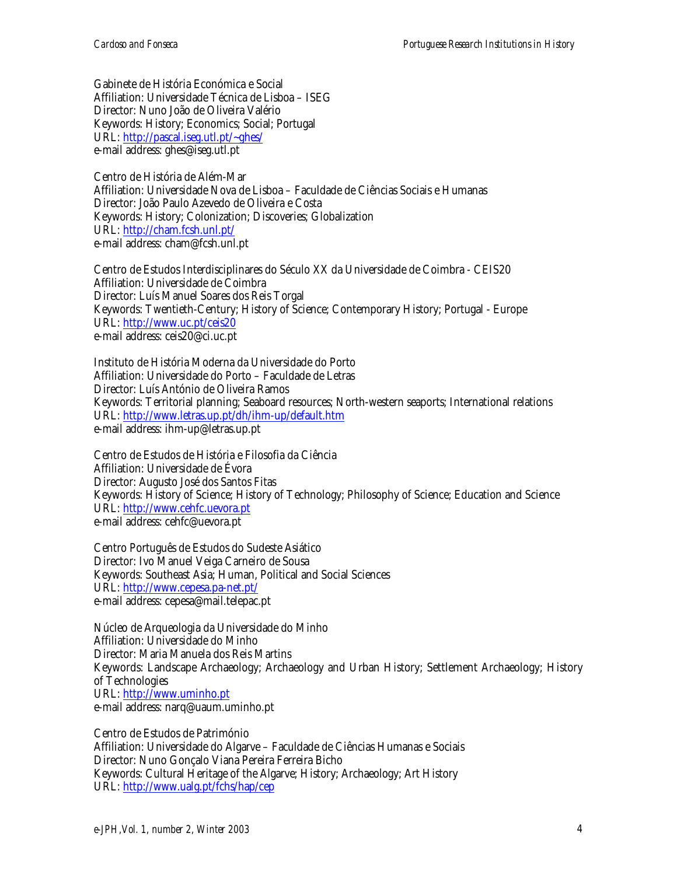Gabinete de História Económica e Social Affiliation: Universidade Técnica de Lisboa – ISEG Director: Nuno João de Oliveira Valério Keywords: History; Economics; Social; Portugal URL: http://pascal.iseg.utl.pt/~ghes/ e-mail address: ghes@iseg.utl.pt

Centro de História de Além-Mar Affiliation: Universidade Nova de Lisboa – Faculdade de Ciências Sociais e Humanas Director: João Paulo Azevedo de Oliveira e Costa Keywords: History; Colonization; Discoveries; Globalization URL: http://cham.fcsh.unl.pt/ e-mail address: cham@fcsh.unl.pt

Centro de Estudos Interdisciplinares do Século XX da Universidade de Coimbra - CEIS20 Affiliation: Universidade de Coimbra Director: Luís Manuel Soares dos Reis Torgal Keywords: Twentieth-Century; History of Science; Contemporary History; Portugal - Europe URL: http://www.uc.pt/ceis20 e-mail address: ceis20@ci.uc.pt

Instituto de História Moderna da Universidade do Porto Affiliation: Universidade do Porto – Faculdade de Letras Director: Luís António de Oliveira Ramos Keywords: Territorial planning; Seaboard resources; North-western seaports; International relations URL: http://www.letras.up.pt/dh/ihm-up/default.htm e-mail address: ihm-up@letras.up.pt

Centro de Estudos de História e Filosofia da Ciência Affiliation: Universidade de Évora Director: Augusto José dos Santos Fitas Keywords: History of Science; History of Technology; Philosophy of Science; Education and Science URL: http://www.cehfc.uevora.pt e-mail address: cehfc@uevora.pt

Centro Português de Estudos do Sudeste Asiático Director: Ivo Manuel Veiga Carneiro de Sousa Keywords: Southeast Asia; Human, Political and Social Sciences URL: http://www.cepesa.pa-net.pt/ e-mail address: cepesa@mail.telepac.pt

Núcleo de Arqueologia da Universidade do Minho Affiliation: Universidade do Minho Director: Maria Manuela dos Reis Martins Keywords: Landscape Archaeology; Archaeology and Urban History; Settlement Archaeology; History of Technologies URL: http://www.uminho.pt e-mail address: narq@uaum.uminho.pt

Centro de Estudos de Património Affiliation: Universidade do Algarve – Faculdade de Ciências Humanas e Sociais Director: Nuno Gonçalo Viana Pereira Ferreira Bicho Keywords: Cultural Heritage of the Algarve; History; Archaeology; Art History URL: http://www.ualg.pt/fchs/hap/cep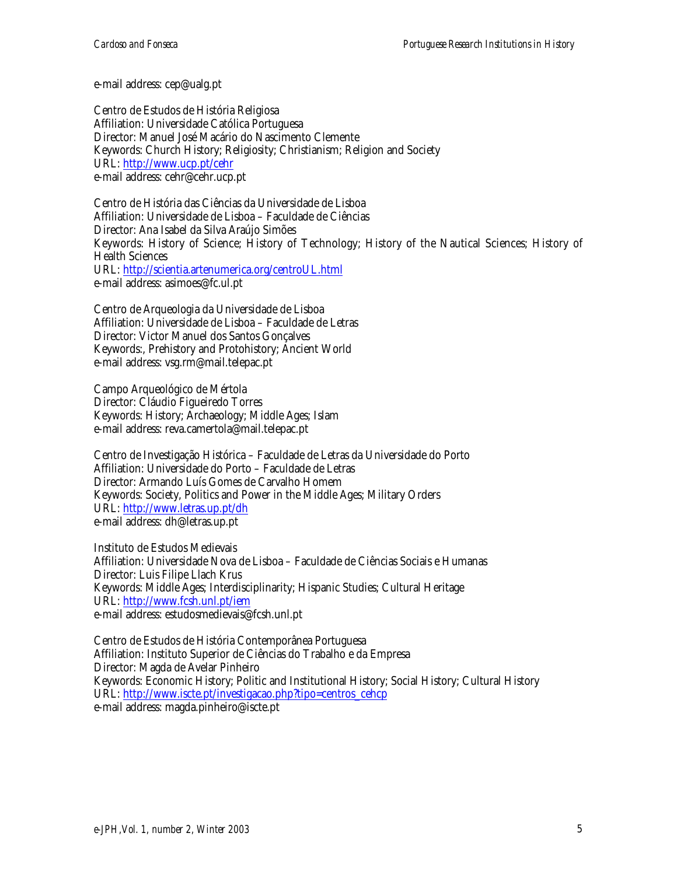e-mail address: cep@ualg.pt

Centro de Estudos de História Religiosa Affiliation: Universidade Católica Portuguesa Director: Manuel José Macário do Nascimento Clemente Keywords: Church History; Religiosity; Christianism; Religion and Society URL: http://www.ucp.pt/cehr e-mail address: cehr@cehr.ucp.pt

Centro de História das Ciências da Universidade de Lisboa Affiliation: Universidade de Lisboa – Faculdade de Ciências Director: Ana Isabel da Silva Araújo Simões Keywords: History of Science; History of Technology; History of the Nautical Sciences; History of Health Sciences URL: http://scientia.artenumerica.org/centroUL.html e-mail address: asimoes@fc.ul.pt

Centro de Arqueologia da Universidade de Lisboa Affiliation: Universidade de Lisboa – Faculdade de Letras Director: Victor Manuel dos Santos Gonçalves Keywords:, Prehistory and Protohistory; Ancient World e-mail address: vsg.rm@mail.telepac.pt

Campo Arqueológico de Mértola Director: Cláudio Figueiredo Torres Keywords: History; Archaeology; Middle Ages; Islam e-mail address: reva.camertola@mail.telepac.pt

Centro de Investigação Histórica – Faculdade de Letras da Universidade do Porto Affiliation: Universidade do Porto – Faculdade de Letras Director: Armando Luís Gomes de Carvalho Homem Keywords: Society, Politics and Power in the Middle Ages; Military Orders URL: http://www.letras.up.pt/dh e-mail address: dh@letras.up.pt

Instituto de Estudos Medievais Affiliation: Universidade Nova de Lisboa – Faculdade de Ciências Sociais e Humanas Director: Luis Filipe Llach Krus Keywords: Middle Ages; Interdisciplinarity; Hispanic Studies; Cultural Heritage URL: http://www.fcsh.unl.pt/iem e-mail address: estudosmedievais@fcsh.unl.pt

Centro de Estudos de História Contemporânea Portuguesa Affiliation: Instituto Superior de Ciências do Trabalho e da Empresa Director: Magda de Avelar Pinheiro Keywords: Economic History; Politic and Institutional History; Social History; Cultural History URL: http://www.iscte.pt/investigacao.php?tipo=centros\_cehcp e-mail address: magda.pinheiro@iscte.pt